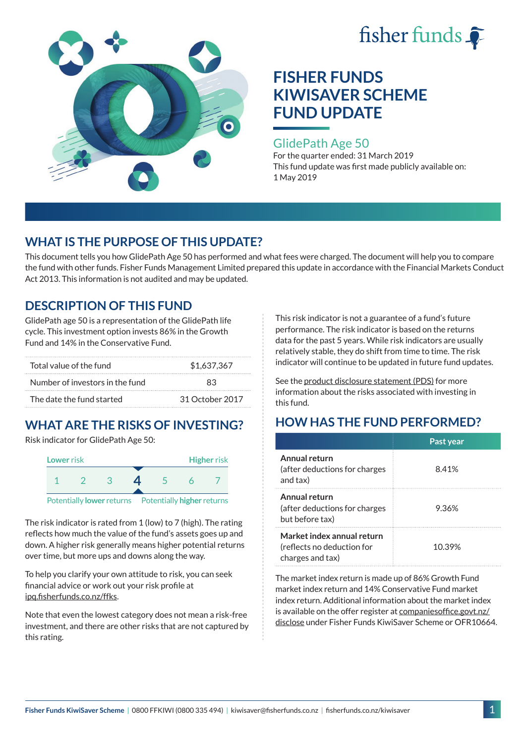



### GlidePath Age 50

For the quarter ended: 31 March 2019 This fund update was first made publicly available on: 1 May 2019

## **WHAT IS THE PURPOSE OF THIS UPDATE?**

This document tells you how GlidePath Age 50 has performed and what fees were charged. The document will help you to compare the fund with other funds. Fisher Funds Management Limited prepared this update in accordance with the Financial Markets Conduct Act 2013. This information is not audited and may be updated.

## **DESCRIPTION OF THIS FUND**

GlidePath age 50 is a representation of the GlidePath life cycle. This investment option invests 86% in the Growth Fund and 14% in the Conservative Fund.

| Total value of the fund         | \$1,637,367     |  |
|---------------------------------|-----------------|--|
| Number of investors in the fund | 83              |  |
| The date the fund started       | 31 October 2017 |  |

# **WHAT ARE THE RISKS OF INVESTING?**

Risk indicator for GlidePath Age 50:



The risk indicator is rated from 1 (low) to 7 (high). The rating reflects how much the value of the fund's assets goes up and down. A higher risk generally means higher potential returns over time, but more ups and downs along the way.

To help you clarify your own attitude to risk, you can seek financial advice or work out your risk profile at [ipq.fisherfunds.co.nz/ffks](https://ipq.fisherfunds.co.nz/ffks).

Note that even the lowest category does not mean a risk-free investment, and there are other risks that are not captured by this rating.

This risk indicator is not a guarantee of a fund's future performance. The risk indicator is based on the returns data for the past 5 years. While risk indicators are usually relatively stable, they do shift from time to time. The risk indicator will continue to be updated in future fund updates.

See the [product disclosure statement \(PDS\)](https://fisherfunds.co.nz/assets/PDS/Fisher-Funds-KiwiSaver-Scheme-PDS.pdf) for more information about the risks associated with investing in this fund.

# **HOW HAS THE FUND PERFORMED?**

|                                                                              | Past year |
|------------------------------------------------------------------------------|-----------|
| Annual return<br>(after deductions for charges<br>and tax)                   | 8.41%     |
| Annual return<br>(after deductions for charges<br>but before tax)            | 9.36%     |
| Market index annual return<br>(reflects no deduction for<br>charges and tax) | 10.39%    |

The market index return is made up of 86% Growth Fund market index return and 14% Conservative Fund market index return. Additional information about the market index is available on the offer register at [companiesoffice.govt.nz/](http://companiesoffice.govt.nz/disclose) [disclose](http://companiesoffice.govt.nz/disclose) under Fisher Funds KiwiSaver Scheme or OFR10664.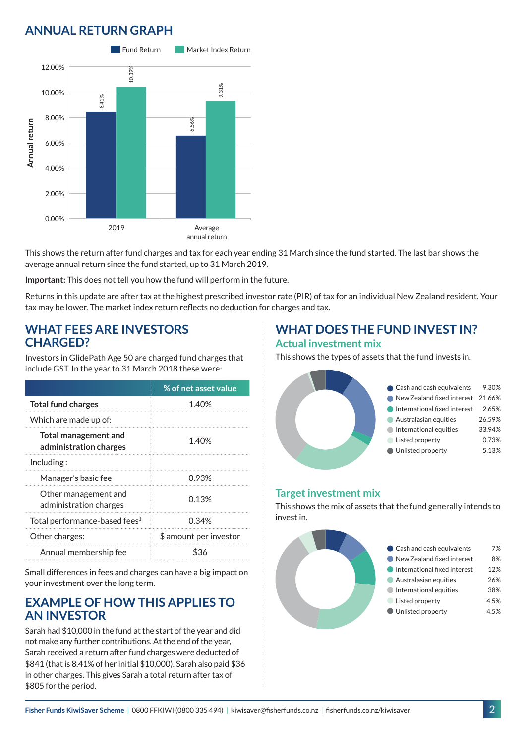# **ANNUAL RETURN GRAPH**



This shows the return after fund charges and tax for each year ending 31 March since the fund started. The last bar shows the average annual return since the fund started, up to 31 March 2019.

**Important:** This does not tell you how the fund will perform in the future.

Returns in this update are after tax at the highest prescribed investor rate (PIR) of tax for an individual New Zealand resident. Your tax may be lower. The market index return reflects no deduction for charges and tax.

#### **WHAT FEES ARE INVESTORS CHARGED?**

Investors in GlidePath Age 50 are charged fund charges that include GST. In the year to 31 March 2018 these were:

|                                                       | % of net asset value   |
|-------------------------------------------------------|------------------------|
| <b>Total fund charges</b>                             | 1.40%                  |
| Which are made up of:                                 |                        |
| <b>Total management and</b><br>administration charges | 1.40%                  |
| Including:                                            |                        |
| Manager's basic fee                                   | 0.93%                  |
| Other management and<br>administration charges        | 0.13%                  |
| Total performance-based fees <sup>1</sup>             | 0.34%                  |
| Other charges:                                        | \$ amount per investor |
| Annual membership fee                                 |                        |

Small differences in fees and charges can have a big impact on your investment over the long term.

### **EXAMPLE OF HOW THIS APPLIES TO AN INVESTOR**

Sarah had \$10,000 in the fund at the start of the year and did not make any further contributions. At the end of the year, Sarah received a return after fund charges were deducted of \$841 (that is 8.41% of her initial \$10,000). Sarah also paid \$36 in other charges. This gives Sarah a total return after tax of \$805 for the period.

### **WHAT DOES THE FUND INVEST IN? Actual investment mix**

This shows the types of assets that the fund invests in.



#### **Target investment mix**

This shows the mix of assets that the fund generally intends to invest in.